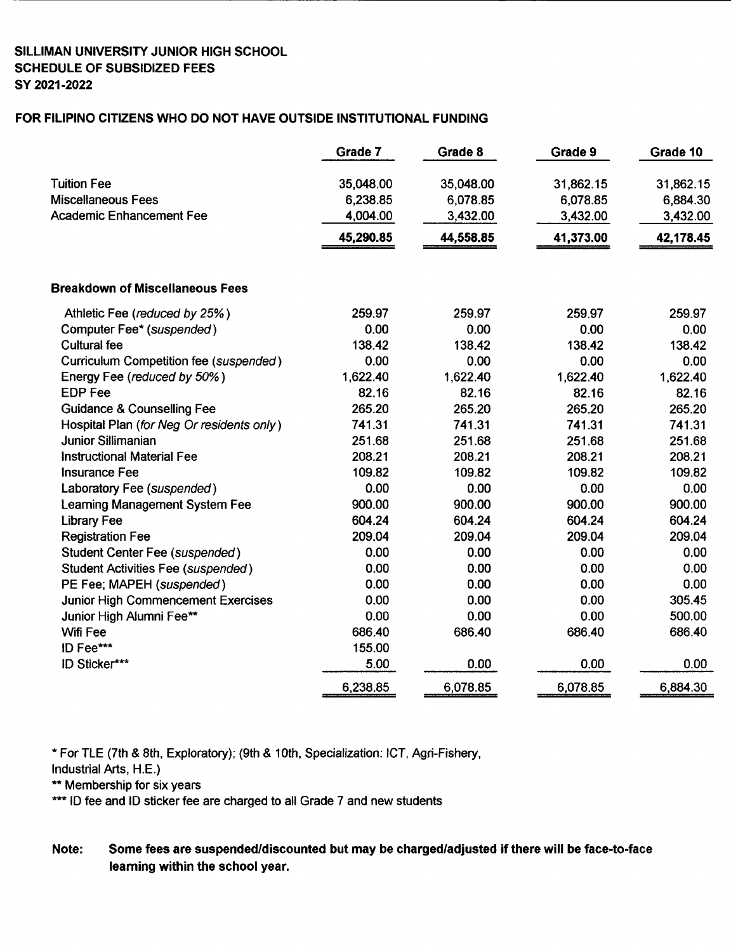## SILLIMAN UNIVERSITY JUNIOR HIGH SCHOOL SCHEDULE OF SUBSIDIZED FEES SY 2021-2022

## FOR FILIPINO CITIZENS WHO DO NOT HAVE OUTSIDE INSTITUTIONAL FUNDING

|                                           | Grade 7   | Grade 8   | Grade 9   | Grade 10  |
|-------------------------------------------|-----------|-----------|-----------|-----------|
| <b>Tuition Fee</b>                        | 35,048.00 | 35,048.00 | 31,862.15 | 31,862.15 |
| <b>Miscellaneous Fees</b>                 | 6,238.85  | 6,078.85  | 6,078.85  | 6,884.30  |
| <b>Academic Enhancement Fee</b>           | 4,004.00  | 3,432.00  | 3,432.00  | 3,432.00  |
|                                           | 45,290.85 | 44,558.85 | 41,373.00 | 42,178.45 |
| <b>Breakdown of Miscellaneous Fees</b>    |           |           |           |           |
| Athletic Fee (reduced by 25%)             | 259.97    | 259.97    | 259.97    | 259.97    |
| Computer Fee* (suspended)                 | 0.00      | 0.00      | 0.00      | 0.00      |
| <b>Cultural fee</b>                       | 138.42    | 138.42    | 138.42    | 138.42    |
| Curriculum Competition fee (suspended)    | 0.00      | 0.00      | 0.00      | 0.00      |
| Energy Fee (reduced by 50%)               | 1,622.40  | 1,622.40  | 1,622.40  | 1,622.40  |
| <b>EDP Fee</b>                            | 82.16     | 82.16     | 82.16     | 82.16     |
| <b>Guidance &amp; Counselling Fee</b>     | 265.20    | 265.20    | 265.20    | 265.20    |
| Hospital Plan (for Neg Or residents only) | 741.31    | 741.31    | 741.31    | 741.31    |
| <b>Junior Sillimanian</b>                 | 251.68    | 251.68    | 251.68    | 251.68    |
| <b>Instructional Material Fee</b>         | 208.21    | 208.21    | 208.21    | 208.21    |
| <b>Insurance Fee</b>                      | 109.82    | 109.82    | 109.82    | 109.82    |
| Laboratory Fee (suspended)                | 0.00      | 0.00      | 0.00      | 0.00      |
| Learning Management System Fee            | 900.00    | 900.00    | 900.00    | 900.00    |
| <b>Library Fee</b>                        | 604.24    | 604.24    | 604.24    | 604.24    |
| <b>Registration Fee</b>                   | 209.04    | 209.04    | 209.04    | 209.04    |
| Student Center Fee (suspended)            | 0.00      | 0.00      | 0.00      | 0.00      |
| <b>Student Activities Fee (suspended)</b> | 0.00      | 0.00      | 0.00      | 0.00      |
| PE Fee; MAPEH (suspended)                 | 0.00      | 0.00      | 0.00      | 0.00      |
| <b>Junior High Commencement Exercises</b> | 0.00      | 0.00      | 0.00      | 305.45    |
| Junior High Alumni Fee**                  | 0.00      | 0.00      | 0.00      | 500.00    |
| Wifi Fee                                  | 686.40    | 686.40    | 686.40    | 686.40    |
| ID Fee***                                 | 155.00    |           |           |           |
| ID Sticker***                             | 5.00      | 0.00      | 0.00      | 0.00      |
|                                           | 6,238.85  | 6,078.85  | 6,078.85  | 6,884.30  |

\* For TLE (7th & 8th, Exploratory); (9th & 10th, Specialization: ICT, Agri-Fishery,

Industrial Arts, H.E.)

\*\* Membership for six years

\*\*\* ID fee and ID sticker fee are charged to all Grade 7 and new students

# Note: Some fees are suspended/discounted but may be charged/adjusted if there will be face-to-face learning within the school year.